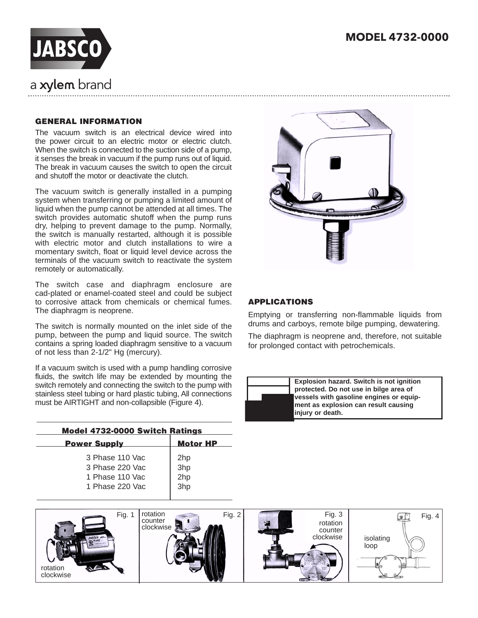

# a xylem brand

### GENERAL INFORMATION

The vacuum switch is an electrical device wired into the power circuit to an electric motor or electric clutch. When the switch is connected to the suction side of a pump, it senses the break in vacuum if the pump runs out of liquid. The break in vacuum causes the switch to open the circuit and shutoff the motor or deactivate the clutch.

The vacuum switch is generally installed in a pumping system when transferring or pumping a limited amount of liquid when the pump cannot be attended at all times. The switch provides automatic shutoff when the pump runs dry, helping to prevent damage to the pump. Normally, the switch is manually restarted, although it is possible with electric motor and clutch installations to wire a momentary switch, float or liquid level device across the terminals of the vacuum switch to reactivate the system remotely or automatically.

The switch case and diaphragm enclosure are cad-plated or enamel-coated steel and could be subject to corrosive attack from chemicals or chemical fumes. The diaphragm is neoprene.

The switch is normally mounted on the inlet side of the pump, between the pump and liquid source. The switch contains a spring loaded diaphragm sensitive to a vacuum of not less than 2-1/2" Hg (mercury).

If a vacuum switch is used with a pump handling corrosive fluids, the switch life may be extended by mounting the switch remotely and connecting the switch to the pump with stainless steel tubing or hard plastic tubing, All connections must be AIRTIGHT and non-collapsible (Figure 4).

| <b>Model 4732-0000 Switch Ratings</b> |                 |  |  |
|---------------------------------------|-----------------|--|--|
| <b>Power Supply</b>                   | <b>Motor HP</b> |  |  |
| 3 Phase 110 Vac                       | 2hp             |  |  |
| 3 Phase 220 Vac                       | 3hp             |  |  |
| 1 Phase 110 Vac                       | 2hp             |  |  |
| 1 Phase 220 Vac                       | 3hp             |  |  |
|                                       |                 |  |  |



#### APPLICATIONS

Emptying or transferring non-flammable liquids from drums and carboys, remote bilge pumping, dewatering.

The diaphragm is neoprene and, therefore, not suitable for prolonged contact with petrochemicals.

| Explosion hazard. Switch is not ignition                 |
|----------------------------------------------------------|
| protected. Do not use in bilge area of                   |
| vessels with gasoline engines or equip-                  |
| ment as explosion can result causing<br>injury or death. |